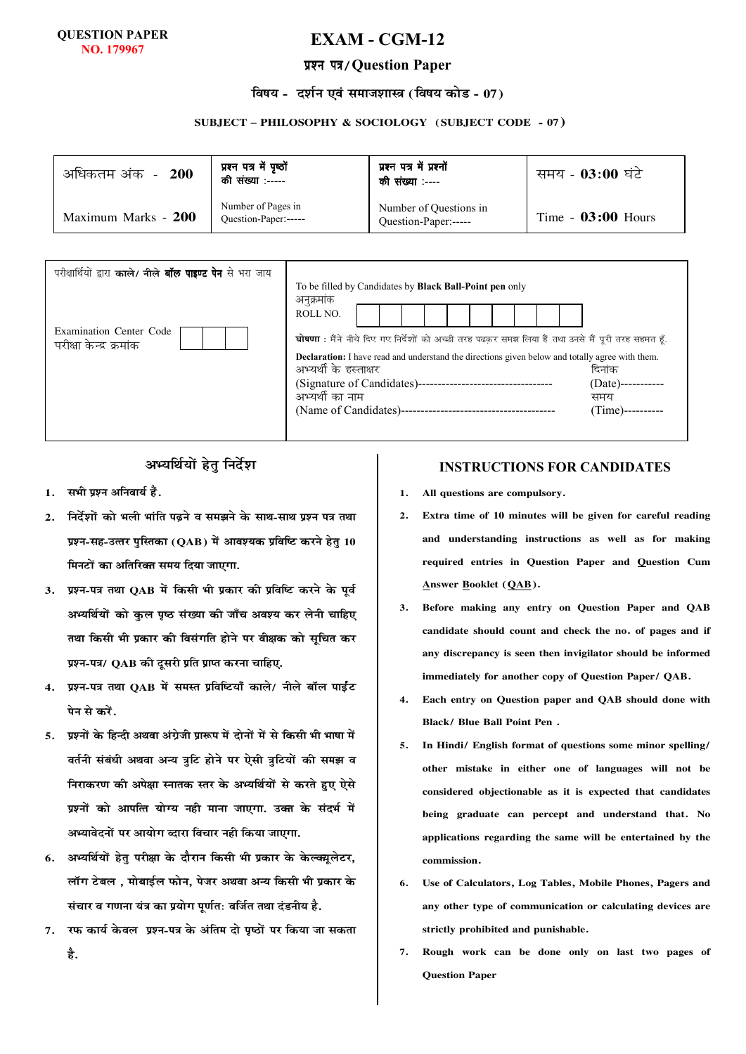#### **QUESTION PAPER** NO. 179967

# $\mathbf{EXAM}$  - CGM-12

### प्रश्न पत्र/Ouestion Paper

#### विषय - दर्शन एवं समाजशास्त्र (विषय कोड - 07)

#### SUBJECT - PHILOSOPHY & SOCIOLOGY (SUBJECT CODE - 07)

| अधिकतम अंक - 200                                                  | प्रश्न पत्र में पृष्ठों<br>की संख्या :----- |                                                                             | प्रश्न पत्र में प्रश्नों<br>की संख्या :----                                                                | समय - 03:00 घंटे     |
|-------------------------------------------------------------------|---------------------------------------------|-----------------------------------------------------------------------------|------------------------------------------------------------------------------------------------------------|----------------------|
| Maximum Marks - 200                                               | Number of Pages in<br>Ouestion-Paper:-----  |                                                                             | Number of Questions in<br>Question-Paper:-----                                                             | Time - $03:00$ Hours |
|                                                                   |                                             |                                                                             |                                                                                                            |                      |
| परीक्षार्थियों द्वारा <b>काले/ नीले बॉल पाइण्ट पेन</b> से भरा जाय |                                             | To be filled by Candidates by <b>Black Ball-Point pen</b> only<br>अनुक्रमाक |                                                                                                            |                      |
| <b>Examination Center Code</b><br>परीक्षा केन्द्र क्रमांक         |                                             | ROLL NO.                                                                    | <b>घोषणा</b> : मैंने नीचे दिए गए निर्देशों को अच्छी तरह पढ़कर समझ लिया हैं तथा उनसे मैं पूरी तरह सहमत हूँ. |                      |

| r Code |  |  | घोषणा : मैंने नीचे दिए गए निर्देशों को अच्छी तरह पढ़कर समझ लिया हैं तथा उनसे मैं पूरी तरह सहमत हूँ.                                                                                          |                                                         |
|--------|--|--|----------------------------------------------------------------------------------------------------------------------------------------------------------------------------------------------|---------------------------------------------------------|
|        |  |  | <b>Declaration:</b> I have read and understand the directions given below and totally agree with them.<br>अभ्यर्थी के हस्ताक्षर<br>अभ्यर्थी का नाम<br>(Name of Candidates)------------------ | दिनांक<br>(Date)-----------<br>समय<br>$(Time)$ -------- |

# अभ्यर्थियों हेतु निर्देश

- सभी प्रश्न अनिवार्य हैं.  $\mathbf 1$ .
- निर्देशों को भली भांति पढने व समझने के साथ-साथ प्रश्न पत्र तथा  $\mathfrak{D}$ प्रश्न-सह-उत्तर पुस्तिका (QAB) में आवश्यक प्रविष्टि करने हेत् 10 मिनटों का अतिरिक्त समय दिया जाएगा.
- प्रश्न-पत्र तथा OAB में किसी भी प्रकार की प्रविष्टि करने के पूर्व  $\mathbf{3}$ . अभ्यर्थियों को कुल पृष्ठ संख्या की जाँच अवश्य कर लेनी चाहिए तथा किसी भी प्रकार की विसंगति होने पर वीक्षक को सुचित कर प्रश्न-पत्र/ QAB की दूसरी प्रति प्राप्त करना चाहिए.
- प्रश्न-पत्र तथा OAB में समस्त प्रविष्टियाँ काले/ नीले बॉल पाईंट  $\blacktriangle$ पेन मे करें
- 5. प्रश्नों के हिन्दी अथवा अंग्रेजी प्रारूप में दोनों में से किसी भी भाषा में वर्तनी संबंधी अथवा अन्य त्रटि होने पर ऐसी त्रटियों की समझ व निराकरण की अपेक्षा स्नातक स्तर के अभ्यर्थियों से करते हुए ऐसे प्रश्नों को आपत्ति योग्य नही माना जाएगा. उक्त के संदर्भ में अभ्यावेदनों पर आयोग व्दारा विचार नही किया जाएगा.
- अभ्यर्थियों हेत परीक्षा के दौरान किसी भी प्रकार के केल्क्यलेटर. 6. लॉग टेबल , मोबाईल फोन, पेजर अथवा अन्य किसी भी प्रकार के संचार व गणना यंत्र का प्रयोग पूर्णत: वर्जित तथा दंडनीय है.
- रफ कार्य केवल प्रश्न-पत्र के अंतिम दो पृष्ठों पर किया जा सकता  $\overline{7}$ . है.

#### **INSTRUCTIONS FOR CANDIDATES**

- All questions are compulsory.  $\mathbf{1}$ .
- Extra time of 10 minutes will be given for careful reading  $2.$ and understanding instructions as well as for making required entries in Question Paper and Question Cum Answer Booklet (QAB).
- Before making any entry on Question Paper and QAB  $3.$ candidate should count and check the no. of pages and if any discrepancy is seen then invigilator should be informed immediately for another copy of Question Paper/ QAB.
- Each entry on Question paper and QAB should done with  $\mathbf{A}$ **Black/ Blue Ball Point Pen**
- $\overline{5}$ . In Hindi/ English format of questions some minor spelling/ other mistake in either one of languages will not be considered objectionable as it is expected that candidates being graduate can percept and understand that. No applications regarding the same will be entertained by the commission.
- Use of Calculators, Log Tables, Mobile Phones, Pagers and 6. any other type of communication or calculating devices are strictly prohibited and punishable.
- $\overline{7}$ . Rough work can be done only on last two pages of **Question Paper**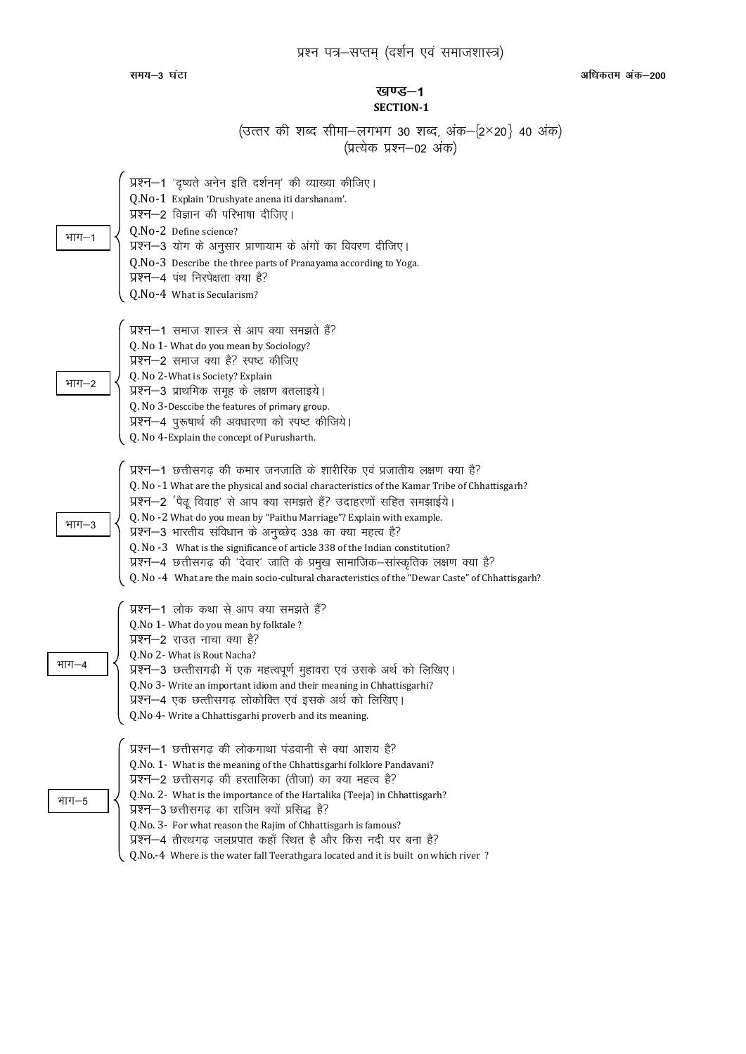समय-3 घंटा

अधिकतम अंक–200

### खण्ड—1 **SECTION-1**

# (उत्तर की शब्द सीमा–लगभग 30 शब्द, अंक–{2×20} 40 अंक)<br>(प्रत्येक प्रश्न–02 अंक)

| भाग $-1$ | प्रश्न-1 'दृष्यते अनेन इति दर्शनम्' की व्याख्या कीजिए।<br>Q.No-1 Explain 'Drushyate anena iti darshanam'.<br>प्रश्न-2 विज्ञान की परिभाषा दीजिए।<br>Q.No-2 Define science?<br>प्रश्न-3 योग के अनुसार प्राणायाम के अंगों का विवरण दीजिए।<br>Q.No-3 Describe the three parts of Pranayama according to Yoga.<br>प्रश्न-4 पंथ निरपेक्षता क्या है?<br>Q.No-4 What is Secularism?                                                                                                                                                                                                                                                                                 |
|----------|-------------------------------------------------------------------------------------------------------------------------------------------------------------------------------------------------------------------------------------------------------------------------------------------------------------------------------------------------------------------------------------------------------------------------------------------------------------------------------------------------------------------------------------------------------------------------------------------------------------------------------------------------------------|
| भाग–2    | प्रश्न- 1 समाज शास्त्र से आप क्या समझते हैं?<br>Q. No 1- What do you mean by Sociology?<br>प्रश्न-2 समाज क्या है? स्पष्ट कीजिए<br>Q. No 2-What is Society? Explain<br>प्रश्न-3 प्राथमिक समूह के लक्षण बतलाइये।<br>Q. No 3-Desccibe the features of primary group.<br>प्रश्न-4 पुरूषार्थ की अवधारणा को स्पष्ट कीजिये।<br>Q. No 4-Explain the concept of Purusharth.                                                                                                                                                                                                                                                                                          |
| भाग $-3$ | प्रश्न-1 छत्तीसगढ़ की कमार जनजाति के शारीरिक एवं प्रजातीय लक्षण क्या है?<br>Q. No -1 What are the physical and social characteristics of the Kamar Tribe of Chhattisgarh?<br>प्रश्न-2 'पैढ़ू विवाह' से आप क्या समझते हैं? उदाहरणों सहित समझाईये।<br>Q. No -2 What do you mean by "Paithu Marriage"? Explain with example.<br>प्रश्न-3 भारतीय संविधान के अनुच्छेद 338 का क्या महत्व है?<br>Q. No -3 What is the significance of article 338 of the Indian constitution?<br>प्रश्न-4 छत्तीसगढ़ की 'देवार' जाति के प्रमुख सामाजिक-सांस्कृतिक लक्षण क्या है?<br>Q. No -4 What are the main socio-cultural characteristics of the "Dewar Caste" of Chhattisgarh? |
| भाग—4    | प्रश्न-1 लोक कथा से आप क्या समझते हैं?<br>Q.No 1- What do you mean by folktale?<br>प्रश्न-2 राउत नाचा क्या है?<br>Q.No 2- What is Rout Nacha?<br>प्रश्न-3 छत्तीसगढ़ी में एक महत्वपूर्ण मुहावरा एवं उसके अर्थ को लिखिए।<br>Q.No 3- Write an important idiom and their meaning in Chhattisgarhi?<br>प्रश्न—4 एक छत्तीसगढ़ लोकोक्ति एवं इसके अर्थ को लिखिए।<br>Q.No 4- Write a Chhattisgarhi proverb and its meaning.                                                                                                                                                                                                                                          |
| भाग $-5$ | प्रश्न-1 छत्तीसगढ की लोकगाथा पंडवानी से क्या आशय है?<br>Q.No. 1- What is the meaning of the Chhattisgarhi folklore Pandavani?<br>प्रश्न-2 छत्तीसगढ़ की हरतालिका (तीजा) का क्या महत्व है?<br>Q.No. 2- What is the importance of the Hartalika (Teeja) in Chhattisgarh?<br>प्रश्न-3 छत्तीसगढ़ का राजिम क्यों प्रसिद्ध है?<br>Q.No. 3- For what reason the Rajim of Chhattisgarh is famous?<br>प्रश्न-4 तीरथगढ जलप्रपात कहाँ स्थित है और किस नदी पर बना है?<br>Q.No.-4 Where is the water fall Teerathgara located and it is built on which river?                                                                                                             |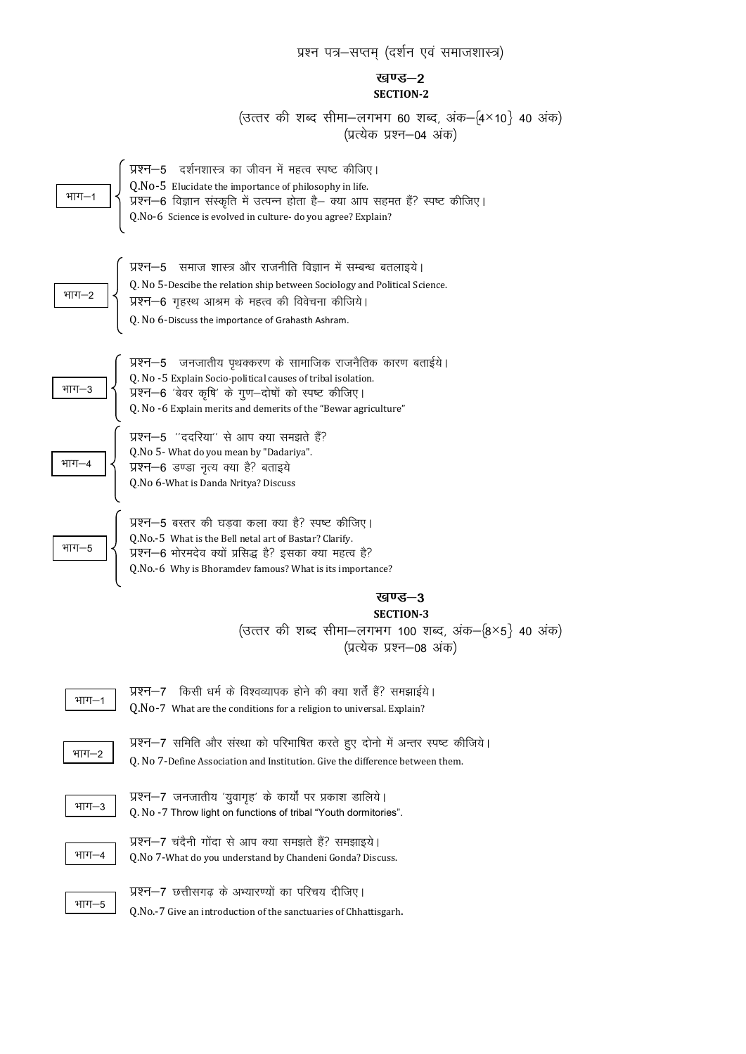# प्रश्न पत्र-सप्तम् (दर्शन एवं समाजशास्त्र)

## खण्ड–2 **SECTION-2**

(उत्तर की शब्द सीमा—लगभग 60 शब्द, अंक—{4×10} 40 अंक)<br>(प्रत्येक प्रश्न—04 अंक)

| भाग $-1$ | प्रश्न-5 दर्शनशास्त्र का जीवन में महत्व स्पष्ट कीजिए।<br>$\sqrt{{\rm Q.No\text{-}5}}$ Elucidate the importance of philosophy in life.<br>प्रश्न-6 विज्ञान संस्कृति में उत्पन्न होता है- क्या आप सहमत हैं? स्पष्ट कीजिए।<br>Q.No-6 Science is evolved in culture- do you agree? Explain? |
|----------|-----------------------------------------------------------------------------------------------------------------------------------------------------------------------------------------------------------------------------------------------------------------------------------------|
| भाग–2    | प्रश्न-5 समाज शास्त्र और राजनीति विज्ञान में सम्बन्ध बतलाइये।<br>Q. No 5-Descibe the relation ship between Sociology and Political Science.<br>प्रश्न—6   गृहस्थ  आश्रम  के  महत्व  की  विवेचना  कीजिये ।<br>Q. No 6-Discuss the importance of Grahasth Ashram.                         |
| भाग–3    | प्रश्न—5 जनजातीय पृथक्करण के सामाजिक राजनैतिक कारण बताईये।<br>Q. No -5 Explain Socio-political causes of tribal isolation.<br>प्रश्न—6 'बेवर कृषि' के गुण—दोषों को स्पष्ट कीजिए।<br>Q. No -6 Explain merits and demerits of the "Bewar agriculture"                                     |
| भाग $-4$ | प्रश्न—5 ''ददरिया'' से आप क्या समझते हैं?<br>Q.No 5- What do you mean by "Dadariya".<br>प्रश्न—6 'डण्डा' नृत्य क्या है? बताइये<br>Q.No 6-What is Danda Nritya? Discuss                                                                                                                  |
|          | प्रश्न-5 बस्तर की घड़वा कला क्या है? स्पष्ट कीजिए।<br>  Q.No.-5   What is the Bell netal art of Bastar? Clarify.<br>  प्रश्न—6  भोरमदेव  क्यों  प्रसिद्ध  है?  इसका  क्या  महत्व  है?<br>Q.No.-6 Why is Bhoramdev famous? What is its importance?                                       |
|          | खण्ड–3<br><b>SECTION-3</b><br>(उत्तर की शब्द सीमा—लगभग 100 शब्द, अंक—{8×5} 40 अंक)<br>(प्रत्येक प्रश्न—08 अंक)                                                                                                                                                                          |
| भाग—1    | प्रश्न-7 किसी धर्म के विश्वव्यापक होने की क्या शर्तें हैं? समझाईये।<br>Q.No-7 What are the conditions for a religion to universal. Explain?                                                                                                                                             |
| भाग—2    | प्रश्न-7 समिति और संस्था को परिभाषित करते हुए दोनो में अन्तर स्पष्ट कीजिये।<br>Q. No 7-Define Association and Institution. Give the difference between them.                                                                                                                            |
| भाग—3    | प्रश्न-7 जनजातीय 'युवागृह' के कार्यों पर प्रकाश डालिये।<br>Q. No -7 Throw light on functions of tribal "Youth dormitories".                                                                                                                                                             |
| भाग $-4$ | प्रश्न-7 चंदैनी गोंदा से आप क्या समझते हैं? समझाइये।<br>Q.No 7-What do you understand by Chandeni Gonda? Discuss.                                                                                                                                                                       |
| भाग—5    | प्रश्न-7 छत्तीसगढ़ के अभ्यारण्यों का परिचय दीजिए।                                                                                                                                                                                                                                       |